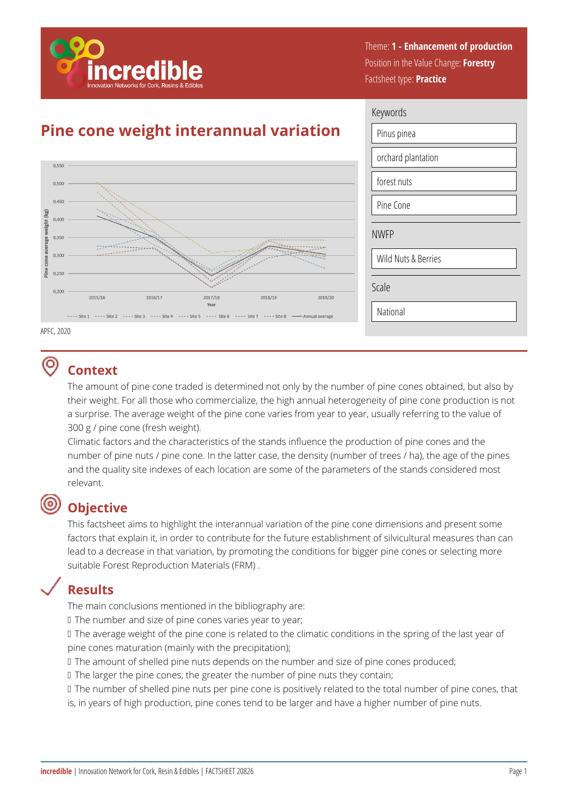

Theme: **1 - Enhancement of production**  Position in the Value Change: **Forestry**  Factsheet type: **Practice** 

# **Pine cone weight interannual variation**



| Keywords            |  |  |
|---------------------|--|--|
| Pinus pinea         |  |  |
| orchard plantation  |  |  |
| forest nuts         |  |  |
| Pine Cone           |  |  |
| <b>NWFP</b>         |  |  |
| Wild Nuts & Berries |  |  |
| Scale               |  |  |
| National            |  |  |

APFC, 2020

#### ര **Context**

The amount of pine cone traded is determined not only by the number of pine cones obtained, but also by their weight. For all those who commercialize, the high annual heterogeneity of pine cone production is not a surprise. The average weight of the pine cone varies from year to year, usually referring to the value of 300 g / pine cone (fresh weight).

Climatic factors and the characteristics of the stands influence the production of pine cones and the number of pine nuts / pine cone. In the latter case, the density (number of trees / ha), the age of the pines and the quality site indexes of each location are some of the parameters of the stands considered most relevant.

## **Objective**

This factsheet aims to highlight the interannual variation of the pine cone dimensions and present some factors that explain it, in order to contribute for the future establishment of silvicultural measures than can lead to a decrease in that variation, by promoting the conditions for bigger pine cones or selecting more suitable Forest Reproduction Materials (FRM) .

## **Results**

The main conclusions mentioned in the bibliography are:

If The number and size of pine cones varies year to year;

If the average weight of the pine cone is related to the climatic conditions in the spring of the last year of pine cones maturation (mainly with the precipitation);

If The amount of shelled pine nuts depends on the number and size of pine cones produced;

If The larger the pine cones, the greater the number of pine nuts they contain;

If The number of shelled pine nuts per pine cone is positively related to the total number of pine cones, that is, in years of high production, pine cones tend to be larger and have a higher number of pine nuts.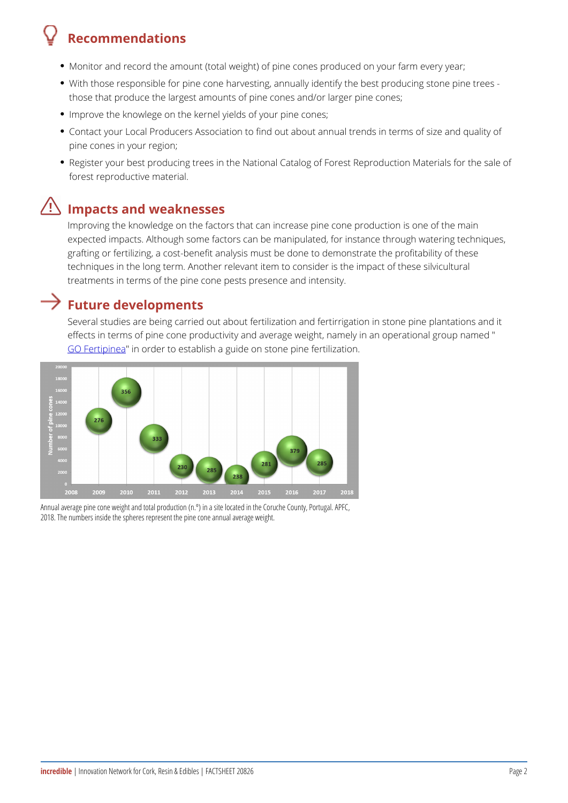## Recommendations

- Monitor and record the amount (total weight) of pine cones produced on y
- With those responsible for pine cone harvesting, annually identify the be those that produce the largest amounts of pine cones and/or larger pine
- Improve the knowlege on the kernel yields of your pine cones;
- Contact your Local Producers Association to find out about annual trends pine cones in your region;
- Register your best producing trees in the National Catalog of Forest Rep forest reproductive material.

### Impacts and weaknesses

Improving the knowledge on the factors that can increase pine cone prod expected impacts. Although some factors can be manipulated, for instanc grafting or fertilizing, a cost-benefit analysis must be done to demonstra techniques in the long term. Another relevant item to consider is the imp treatments in terms of the pine cone pests presence and intensity.

#### Future developments

Several studies are being carried out about fertilization and fertirrigation effects in terms of pine cone productivity and average weight, namely in [GO Ferti](http://www.unac.pt/index.php/id-i/grupos-operacionais-accao-1-1-pdr2020/fertipinea)pime arder to establish a guide on stone pine fertilization.

Annual average pine cone weight and total production (n.º) in a site located in the Co 2018. The numbers inside the spheres represent the pine cone annual average weight.